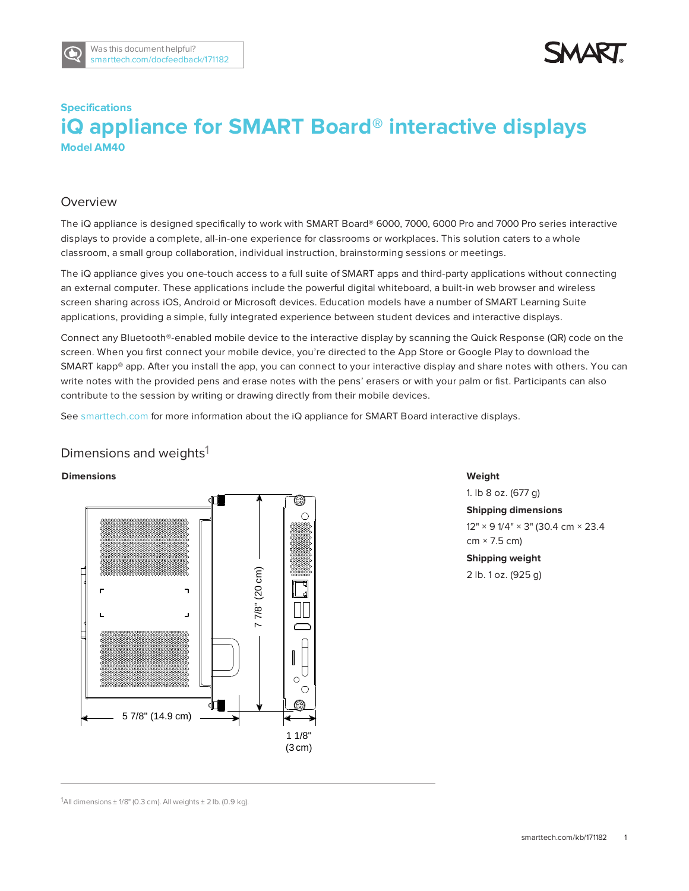

# **Specifications iQ appliance for SMART Board® interactive displays Model AM40**

### Overview

The iQ appliance is designed specifically to work with SMART Board® 6000, 7000, 6000 Pro and 7000 Pro series interactive displays to provide a complete, all-in-one experience for classrooms or workplaces. This solution caters to a whole classroom, a small group collaboration, individual instruction, brainstorming sessions or meetings.

The iQ appliance gives you one-touch access to a full suite of SMART apps and third-party applications without connecting an external computer. These applications include the powerful digital whiteboard, a built-in web browser and wireless screen sharing across iOS, Android or Microsoft devices. Education models have a number of SMART Learning Suite applications, providing a simple, fully integrated experience between student devices and interactive displays.

Connect any Bluetooth®-enabled mobile device to the interactive display by scanning the Quick Response (QR) code on the screen. When you first connect your mobile device, you're directed to the App Store or Google Play to download the SMART kapp® app. After you install the app, you can connect to your interactive display and share notes with others. You can write notes with the provided pens and erase notes with the pens' erasers or with your palm or fist. Participants can also contribute to the session by writing or drawing directly from their mobile devices.

See [smarttech.com](http://www.smarttech.com/) for more information about the iQ appliance for SMART Board interactive displays.

### Dimensions and weights<sup>1</sup>

### **Dimensions**



**Weight**

1. lb 8 oz. (677 g) **Shipping dimensions** 12" × 9 1/4" × 3" (30.4 cm × 23.4  $cm \times 7.5$  cm) **Shipping weight** 2 lb. 1 oz. (925 g)

<sup>1</sup>All dimensions  $\pm$  1/8" (0.3 cm). All weights  $\pm$  2 lb. (0.9 kg).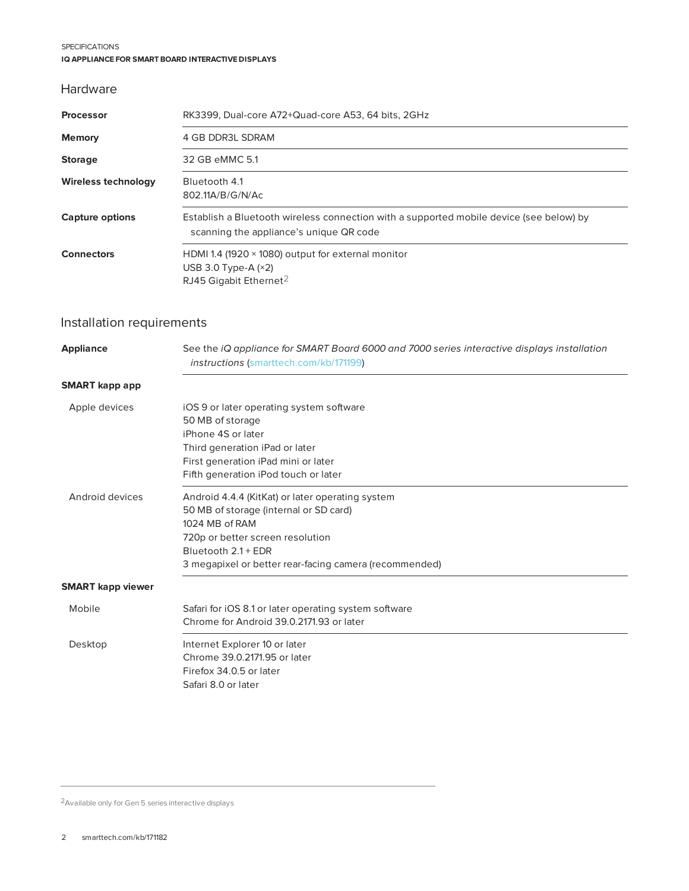#### SPECIFICATIONS **IQ APPLIANCE FOR SMART BOARD INTERACTIVE DISPLAYS**

### Hardware

| <b>Processor</b>       | RK3399, Dual-core A72+Quad-core A53, 64 bits, 2GHz                                                                                 |
|------------------------|------------------------------------------------------------------------------------------------------------------------------------|
| <b>Memory</b>          | 4 GB DDR3L SDRAM                                                                                                                   |
| <b>Storage</b>         | 32 GB eMMC 5.1                                                                                                                     |
| Wireless technology    | Bluetooth 4.1<br>802.11A/B/G/N/Ac                                                                                                  |
| <b>Capture options</b> | Establish a Bluetooth wireless connection with a supported mobile device (see below) by<br>scanning the appliance's unique QR code |
| <b>Connectors</b>      | HDMI 1.4 (1920 $\times$ 1080) output for external monitor<br>USB 3.0 Type-A $(x2)$<br>RJ45 Gigabit Ethernet <sup>2</sup>           |

## Installation requirements

| <b>Appliance</b>         | See the iQ appliance for SMART Board 6000 and 7000 series interactive displays installation<br>instructions (smarttech.com/kb/171199) |
|--------------------------|---------------------------------------------------------------------------------------------------------------------------------------|
| <b>SMART</b> kapp app    |                                                                                                                                       |
| Apple devices            | iOS 9 or later operating system software                                                                                              |
|                          | 50 MB of storage                                                                                                                      |
|                          | iPhone 4S or later                                                                                                                    |
|                          | Third generation iPad or later                                                                                                        |
|                          | First generation iPad mini or later                                                                                                   |
|                          | Fifth generation iPod touch or later                                                                                                  |
| Android devices          | Android 4.4.4 (KitKat) or later operating system                                                                                      |
|                          | 50 MB of storage (internal or SD card)                                                                                                |
|                          | 1024 MB of RAM                                                                                                                        |
|                          | 720p or better screen resolution                                                                                                      |
|                          | Bluetooth 2.1 + EDR                                                                                                                   |
|                          | 3 megapixel or better rear-facing camera (recommended)                                                                                |
| <b>SMART</b> kapp viewer |                                                                                                                                       |
| Mobile                   | Safari for iOS 8.1 or later operating system software                                                                                 |
|                          | Chrome for Android 39.0.2171.93 or later                                                                                              |
| Desktop                  | Internet Explorer 10 or later                                                                                                         |
|                          | Chrome 39.0.2171.95 or later                                                                                                          |
|                          | Firefox 34.0.5 or later                                                                                                               |
|                          | Safari 8.0 or later                                                                                                                   |
|                          |                                                                                                                                       |

2Available only for Gen 5 series interactive displays